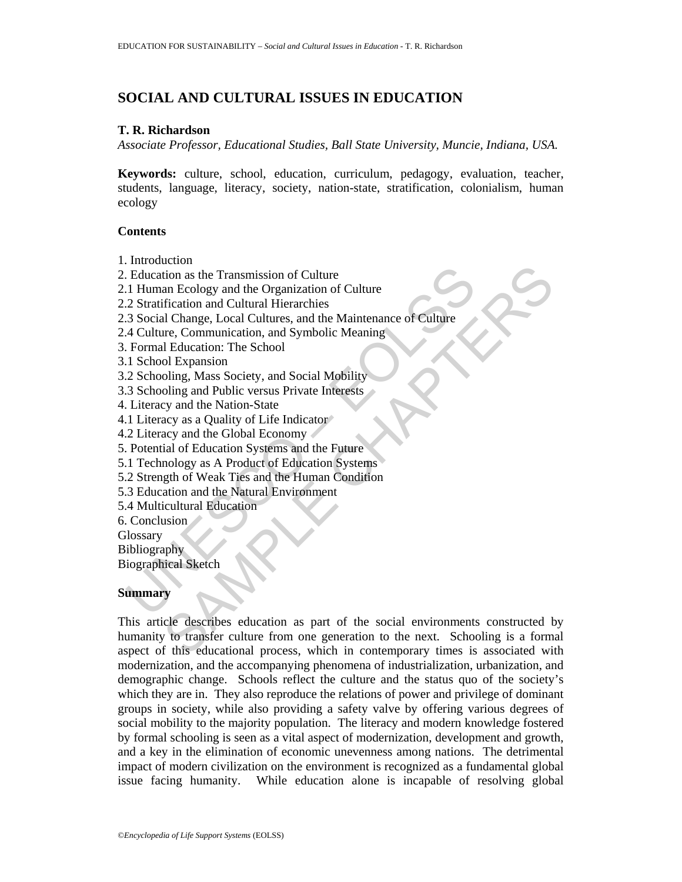# **SOCIAL AND CULTURAL ISSUES IN EDUCATION**

#### **T. R. Richardson**

*Associate Professor, Educational Studies, Ball State University, Muncie, Indiana, USA.* 

**Keywords:** culture, school, education, curriculum, pedagogy, evaluation, teacher, students, language, literacy, society, nation-state, stratification, colonialism, human ecology

### **Contents**

- 1. Introduction
- 2. Education as the Transmission of Culture
- 2.1 Human Ecology and the Organization of Culture
- 2.2 Stratification and Cultural Hierarchies
- Education as the Transmission of Culture<br>
1 Human Ecology and the Organization of Culture<br>
2 Straification and Culturel Hierarchies<br>
4 Gulture, Communication, and Symbolic Meaning<br>
4 Gulture, Communication, and Symbolic Me 2.3 Social Change, Local Cultures, and the Maintenance of Culture
- 2.4 Culture, Communication, and Symbolic Meaning
- 3. Formal Education: The School
- 3.1 School Expansion
- 3.2 Schooling, Mass Society, and Social Mobility
- 3.3 Schooling and Public versus Private Interests
- 4. Literacy and the Nation-State
- 4.1 Literacy as a Quality of Life Indicator
- 4.2 Literacy and the Global Economy
- 5. Potential of Education Systems and the Future
- 5.1 Technology as A Product of Education Systems
- 5.2 Strength of Weak Ties and the Human Condition
- 5.3 Education and the Natural Environment
- 5.4 Multicultural Education
- 6. Conclusion
- **Glossary**

**Bibliography** 

Biographical Sketch

## **Summary**

Example Transmission of Culture<br>
tion as the Transmission of Culture<br>
frication and Cultural Hierarchies<br>
dl Change, Local Cultures, and the Maintenance of Culture<br>
re, Communication, and Symbolic Meaning<br>
Dl Expansion<br>
ol This article describes education as part of the social environments constructed by humanity to transfer culture from one generation to the next. Schooling is a formal aspect of this educational process, which in contemporary times is associated with modernization, and the accompanying phenomena of industrialization, urbanization, and demographic change. Schools reflect the culture and the status quo of the society's which they are in. They also reproduce the relations of power and privilege of dominant groups in society, while also providing a safety valve by offering various degrees of social mobility to the majority population. The literacy and modern knowledge fostered by formal schooling is seen as a vital aspect of modernization, development and growth, and a key in the elimination of economic unevenness among nations. The detrimental impact of modern civilization on the environment is recognized as a fundamental global issue facing humanity. While education alone is incapable of resolving global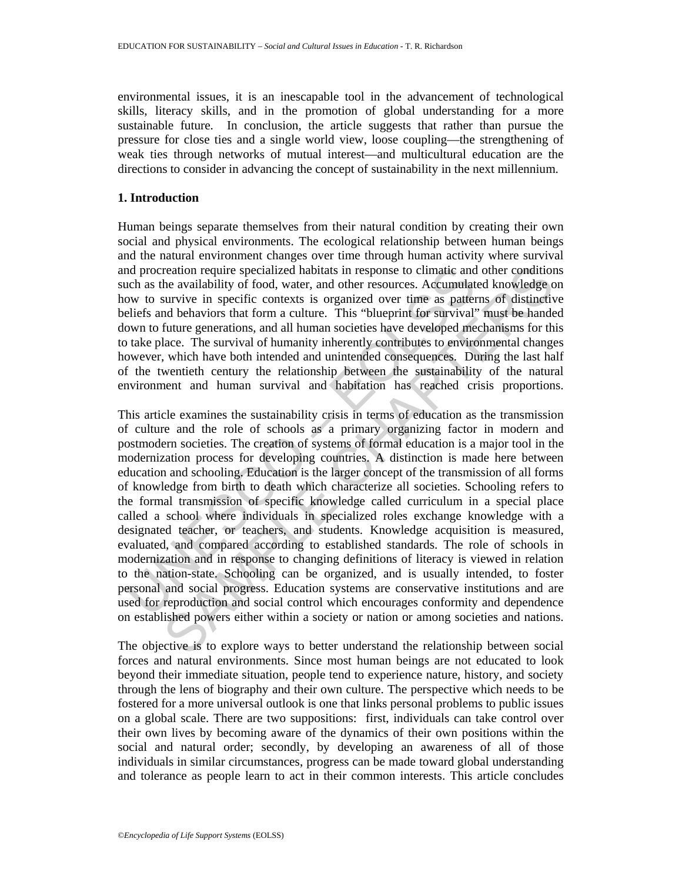environmental issues, it is an inescapable tool in the advancement of technological skills, literacy skills, and in the promotion of global understanding for a more sustainable future. In conclusion, the article suggests that rather than pursue the pressure for close ties and a single world view, loose coupling—the strengthening of weak ties through networks of mutual interest—and multicultural education are the directions to consider in advancing the concept of sustainability in the next millennium.

#### **1. Introduction**

Human beings separate themselves from their natural condition by creating their own social and physical environments. The ecological relationship between human beings and the natural environment changes over time through human activity where survival and procreation require specialized habitats in response to climatic and other conditions such as the availability of food, water, and other resources. Accumulated knowledge on how to survive in specific contexts is organized over time as patterns of distinctive beliefs and behaviors that form a culture. This "blueprint for survival" must be handed down to future generations, and all human societies have developed mechanisms for this to take place. The survival of humanity inherently contributes to environmental changes however, which have both intended and unintended consequences. During the last half of the twentieth century the relationship between the sustainability of the natural environment and human survival and habitation has reached crisis proportions.

nd procreation require specialized habitats in response to climatic and<br>not as the availability of food, water, and other resources. Accoundlat<br>now to survive in specific contexts is organized over time as pattern<br>ellelefs reation require specialized habitats in response to climatic and other condition<br>he availability of food, water, and other resources. Accumulated knowledge<br>of usurvive in specific contexts is organized over time as pattern This article examines the sustainability crisis in terms of education as the transmission of culture and the role of schools as a primary organizing factor in modern and postmodern societies. The creation of systems of formal education is a major tool in the modernization process for developing countries. A distinction is made here between education and schooling. Education is the larger concept of the transmission of all forms of knowledge from birth to death which characterize all societies. Schooling refers to the formal transmission of specific knowledge called curriculum in a special place called a school where individuals in specialized roles exchange knowledge with a designated teacher, or teachers, and students. Knowledge acquisition is measured, evaluated, and compared according to established standards. The role of schools in modernization and in response to changing definitions of literacy is viewed in relation to the nation-state. Schooling can be organized, and is usually intended, to foster personal and social progress. Education systems are conservative institutions and are used for reproduction and social control which encourages conformity and dependence on established powers either within a society or nation or among societies and nations.

The objective is to explore ways to better understand the relationship between social forces and natural environments. Since most human beings are not educated to look beyond their immediate situation, people tend to experience nature, history, and society through the lens of biography and their own culture. The perspective which needs to be fostered for a more universal outlook is one that links personal problems to public issues on a global scale. There are two suppositions: first, individuals can take control over their own lives by becoming aware of the dynamics of their own positions within the social and natural order; secondly, by developing an awareness of all of those individuals in similar circumstances, progress can be made toward global understanding and tolerance as people learn to act in their common interests. This article concludes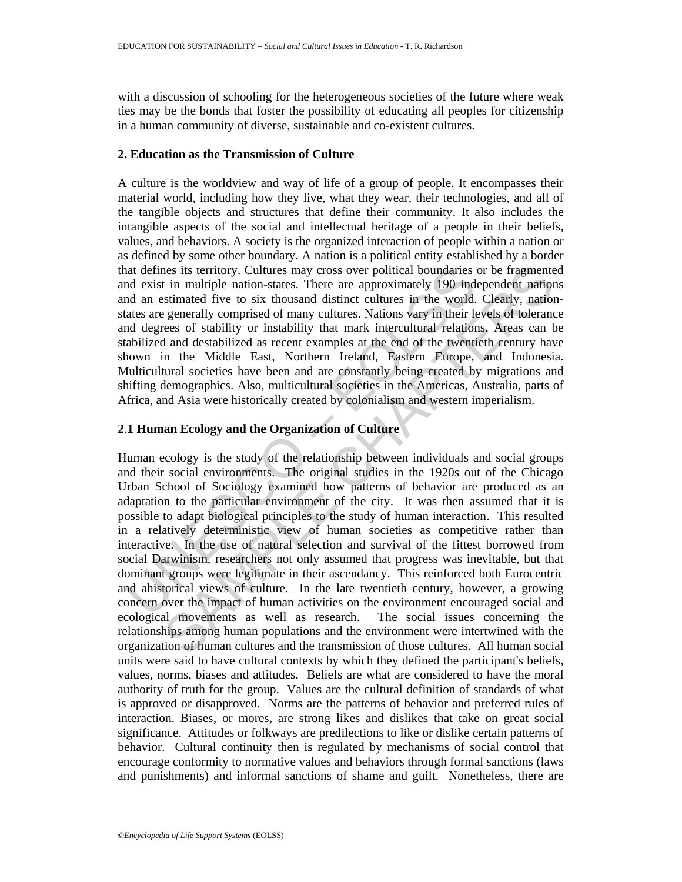with a discussion of schooling for the heterogeneous societies of the future where weak ties may be the bonds that foster the possibility of educating all peoples for citizenship in a human community of diverse, sustainable and co-existent cultures.

### **2. Education as the Transmission of Culture**

A culture is the worldview and way of life of a group of people. It encompasses their material world, including how they live, what they wear, their technologies, and all of the tangible objects and structures that define their community. It also includes the intangible aspects of the social and intellectual heritage of a people in their beliefs, values, and behaviors. A society is the organized interaction of people within a nation or as defined by some other boundary. A nation is a political entity established by a border that defines its territory. Cultures may cross over political boundaries or be fragmented and exist in multiple nation-states. There are approximately 190 independent nations and an estimated five to six thousand distinct cultures in the world. Clearly, nationstates are generally comprised of many cultures. Nations vary in their levels of tolerance and degrees of stability or instability that mark intercultural relations. Areas can be stabilized and destabilized as recent examples at the end of the twentieth century have shown in the Middle East, Northern Ireland, Eastern Europe, and Indonesia. Multicultural societies have been and are constantly being created by migrations and shifting demographics. Also, multicultural societies in the Americas, Australia, parts of Africa, and Asia were historically created by colonialism and western imperialism.

## **2**.**1 Human Ecology and the Organization of Culture**

at defines its territory. Cultures may cross over political boundaries<br>at dexist in multiple nation-states. There are approximately 190 ind<br>at easit in multiple nation-states. There are approximately 190 ind<br>ates are gener ites its territory. Cultures may cross over political boundaries or be fragmentted in multiple nation-states. There are approximately 190 independent nation-states in the voride system and proposing the generally comprised Human ecology is the study of the relationship between individuals and social groups and their social environments. The original studies in the 1920s out of the Chicago Urban School of Sociology examined how patterns of behavior are produced as an adaptation to the particular environment of the city. It was then assumed that it is possible to adapt biological principles to the study of human interaction. This resulted in a relatively deterministic view of human societies as competitive rather than interactive. In the use of natural selection and survival of the fittest borrowed from social Darwinism, researchers not only assumed that progress was inevitable, but that dominant groups were legitimate in their ascendancy. This reinforced both Eurocentric and ahistorical views of culture. In the late twentieth century, however, a growing concern over the impact of human activities on the environment encouraged social and ecological movements as well as research. The social issues concerning the relationships among human populations and the environment were intertwined with the organization of human cultures and the transmission of those cultures. All human social units were said to have cultural contexts by which they defined the participant's beliefs, values, norms, biases and attitudes. Beliefs are what are considered to have the moral authority of truth for the group. Values are the cultural definition of standards of what is approved or disapproved. Norms are the patterns of behavior and preferred rules of interaction. Biases, or mores, are strong likes and dislikes that take on great social significance. Attitudes or folkways are predilections to like or dislike certain patterns of behavior. Cultural continuity then is regulated by mechanisms of social control that encourage conformity to normative values and behaviors through formal sanctions (laws and punishments) and informal sanctions of shame and guilt. Nonetheless, there are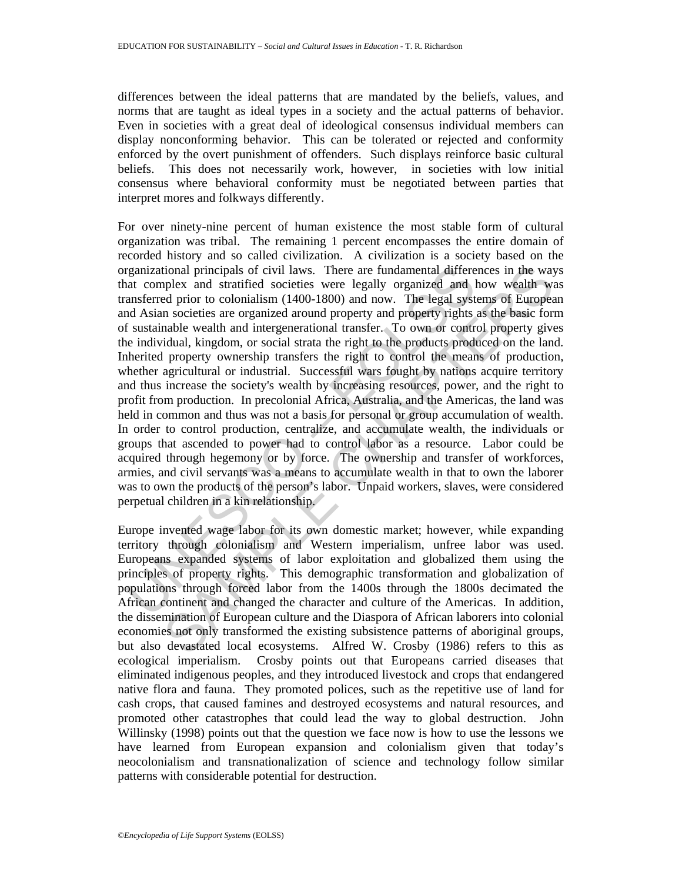differences between the ideal patterns that are mandated by the beliefs, values, and norms that are taught as ideal types in a society and the actual patterns of behavior. Even in societies with a great deal of ideological consensus individual members can display nonconforming behavior. This can be tolerated or rejected and conformity enforced by the overt punishment of offenders. Such displays reinforce basic cultural beliefs. This does not necessarily work, however, in societies with low initial consensus where behavioral conformity must be negotiated between parties that interpret mores and folkways differently.

rganizational principals of civil laws. There are fundamental different complex and stratified societies were legally organized and last complex and antisfered prior to colonialism (1400-1800) and now. The legal system and tional principals of civil laws. There are fundamental differences in the way<br>plex and stratfied societies were legally organized and how wealth was<br>delprince colonialism (1400-1800) and now. The legal systems of Europea<br>n For over ninety-nine percent of human existence the most stable form of cultural organization was tribal. The remaining 1 percent encompasses the entire domain of recorded history and so called civilization. A civilization is a society based on the organizational principals of civil laws. There are fundamental differences in the ways that complex and stratified societies were legally organized and how wealth was transferred prior to colonialism (1400-1800) and now. The legal systems of European and Asian societies are organized around property and property rights as the basic form of sustainable wealth and intergenerational transfer. To own or control property gives the individual, kingdom, or social strata the right to the products produced on the land. Inherited property ownership transfers the right to control the means of production, whether agricultural or industrial. Successful wars fought by nations acquire territory and thus increase the society's wealth by increasing resources, power, and the right to profit from production. In precolonial Africa, Australia, and the Americas, the land was held in common and thus was not a basis for personal or group accumulation of wealth. In order to control production, centralize, and accumulate wealth, the individuals or groups that ascended to power had to control labor as a resource. Labor could be acquired through hegemony or by force. The ownership and transfer of workforces, armies, and civil servants was a means to accumulate wealth in that to own the laborer was to own the products of the person's labor. Unpaid workers, slaves, were considered perpetual children in a kin relationship.

Europe invented wage labor for its own domestic market; however, while expanding territory through colonialism and Western imperialism, unfree labor was used. Europeans expanded systems of labor exploitation and globalized them using the principles of property rights. This demographic transformation and globalization of populations through forced labor from the 1400s through the 1800s decimated the African continent and changed the character and culture of the Americas. In addition, the dissemination of European culture and the Diaspora of African laborers into colonial economies not only transformed the existing subsistence patterns of aboriginal groups, but also devastated local ecosystems. Alfred W. Crosby (1986) refers to this as ecological imperialism. Crosby points out that Europeans carried diseases that eliminated indigenous peoples, and they introduced livestock and crops that endangered native flora and fauna. They promoted polices, such as the repetitive use of land for cash crops, that caused famines and destroyed ecosystems and natural resources, and promoted other catastrophes that could lead the way to global destruction. John Willinsky (1998) points out that the question we face now is how to use the lessons we have learned from European expansion and colonialism given that today's neocolonialism and transnationalization of science and technology follow similar patterns with considerable potential for destruction.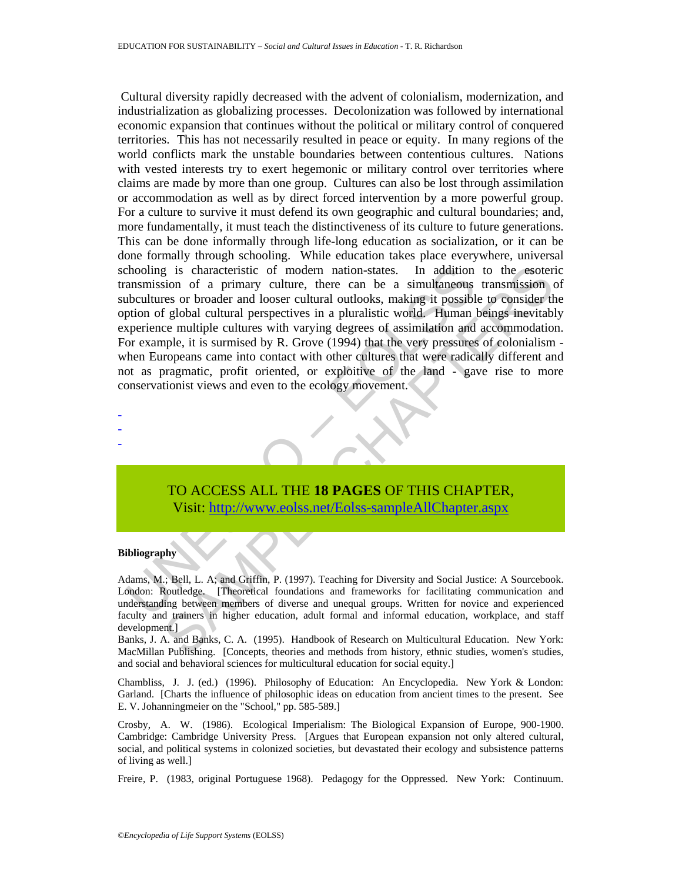chooling is characteristic of modern nation-states. In addition<br>ansmission of a primary culture, there can be a simultaneous<br>ubsultures or broader and looser cultural perspectives in a pluralistic world. Human h<br>sperience g is characteristic of modern nation-states. In addition to the esoterion<br>rois of a primary culture, there can be a simultaneous transmission<br>reserves or broader and looser cultural outlooks, making it possible to consider Cultural diversity rapidly decreased with the advent of colonialism, modernization, and industrialization as globalizing processes. Decolonization was followed by international economic expansion that continues without the political or military control of conquered territories. This has not necessarily resulted in peace or equity. In many regions of the world conflicts mark the unstable boundaries between contentious cultures. Nations with vested interests try to exert hegemonic or military control over territories where claims are made by more than one group. Cultures can also be lost through assimilation or accommodation as well as by direct forced intervention by a more powerful group. For a culture to survive it must defend its own geographic and cultural boundaries; and, more fundamentally, it must teach the distinctiveness of its culture to future generations. This can be done informally through life-long education as socialization, or it can be done formally through schooling. While education takes place everywhere, universal schooling is characteristic of modern nation-states. In addition to the esoteric transmission of a primary culture, there can be a simultaneous transmission of subcultures or broader and looser cultural outlooks, making it possible to consider the option of global cultural perspectives in a pluralistic world. Human beings inevitably experience multiple cultures with varying degrees of assimilation and accommodation. For example, it is surmised by R. Grove (1994) that the very pressures of colonialism when Europeans came into contact with other cultures that were radically different and not as pragmatic, profit oriented, or exploitive of the land - gave rise to more conservationist views and even to the ecology movement.

TO ACCESS ALL THE **18 PAGES** OF THIS CHAPTER, Visit: http://www.eolss.net/Eolss-sampleAllChapter.aspx

#### **Bibliography**

- - -

Adams, M.; Bell, L. A; and Griffin, P. (1997). Teaching for Diversity and Social Justice: A Sourcebook. London: Routledge. [Theoretical foundations and frameworks for facilitating communication and understanding between members of diverse and unequal groups. Written for novice and experienced faculty and trainers in higher education, adult formal and informal education, workplace, and staff development.]

Banks, J. A. and Banks, C. A. (1995). Handbook of Research on Multicultural Education. New York: MacMillan Publishing. [Concepts, theories and methods from history, ethnic studies, women's studies, and social and behavioral sciences for multicultural education for social equity.]

Chambliss, J. J. (ed.) (1996). Philosophy of Education: An Encyclopedia. New York & London: Garland. [Charts the influence of philosophic ideas on education from ancient times to the present. See E. V. Johanningmeier on the "School," pp. 585-589.]

Crosby, A. W. (1986). Ecological Imperialism: The Biological Expansion of Europe, 900-1900. Cambridge: Cambridge University Press. [Argues that European expansion not only altered cultural, social, and political systems in colonized societies, but devastated their ecology and subsistence patterns of living as well.]

Freire, P. (1983, original Portuguese 1968). Pedagogy for the Oppressed. New York: Continuum.